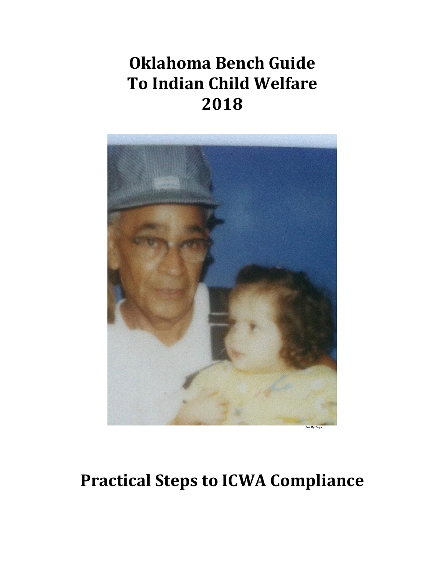# **Oklahoma Bench Guide To Indian Child Welfare 2018**



# **Practical Steps to ICWA Compliance**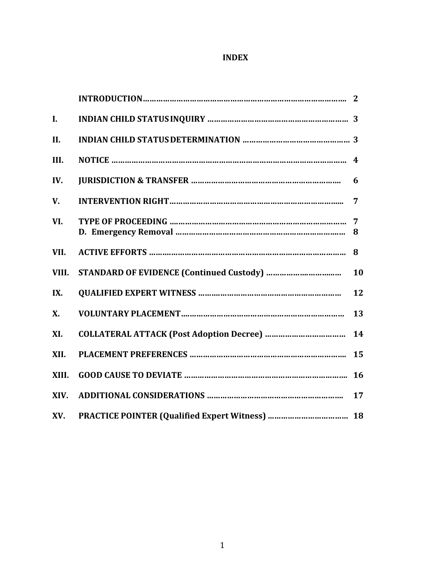# **INDEX**

| $\mathbf{I}$ . |    |
|----------------|----|
| II.            |    |
| III.           |    |
| IV.            | 6  |
| V.             | 7  |
| VI.            |    |
| VII.           | 8  |
| VIII.          | 10 |
| IX.            | 12 |
| <b>X.</b>      | 13 |
| XI.            | 14 |
| XII.           | 15 |
| XIII.          | 16 |
| XIV.           | 17 |
| XV.            |    |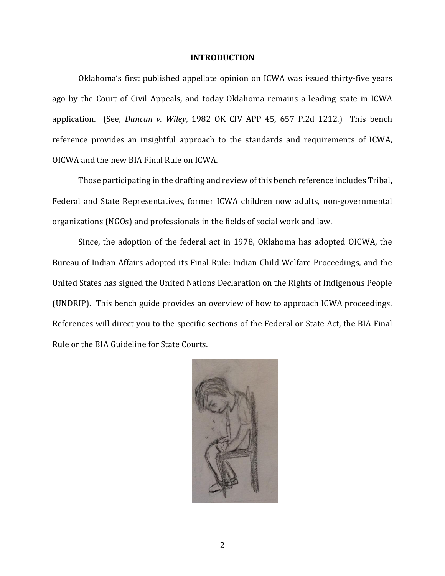#### **INTRODUCTION**

Oklahoma's first published appellate opinion on ICWA was issued thirty-five years ago by the Court of Civil Appeals, and today Oklahoma remains a leading state in ICWA application. (See, *Duncan v. Wiley*, 1982 OK CIV APP 45, 657 P.2d 1212.) This bench reference provides an insightful approach to the standards and requirements of ICWA, OICWA and the new BIA Final Rule on ICWA.

Those participating in the drafting and review of this bench reference includes Tribal, Federal and State Representatives, former ICWA children now adults, non-governmental organizations (NGOs) and professionals in the fields of social work and law.

Since, the adoption of the federal act in 1978, Oklahoma has adopted OICWA, the Bureau of Indian Affairs adopted its Final Rule: Indian Child Welfare Proceedings, and the United States has signed the United Nations Declaration on the Rights of Indigenous People (UNDRIP). This bench guide provides an overview of how to approach ICWA proceedings. References will direct you to the specific sections of the Federal or State Act, the BIA Final Rule or the BIA Guideline for State Courts.

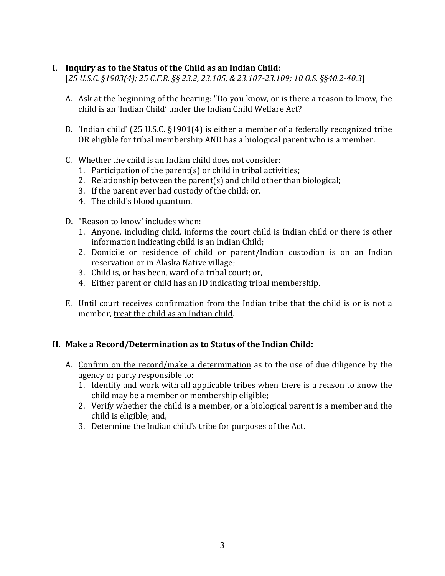# **I. Inquiry as to the Status of the Child as an Indian Child:**

[*25 U.S.C. §1903(4); 25 C.F.R. §§ 23.2, 23.105, & 23.107-23.109; 10 O.S. §§40.2-40.3*]

- A. Ask at the beginning of the hearing: "Do you know, or is there a reason to know, the child is an 'Indian Child' under the Indian Child Welfare Act?
- B. 'Indian child' (25 U.S.C. §1901(4) is either a member of a federally recognized tribe OR eligible for tribal membership AND has a biological parent who is a member.
- C. Whether the child is an Indian child does not consider:
	- 1. Participation of the parent(s) or child in tribal activities;
	- 2. Relationship between the parent(s) and child other than biological;
	- 3. If the parent ever had custody of the child; or,
	- 4. The child's blood quantum.
- D. "Reason to know' includes when:
	- 1. Anyone, including child, informs the court child is Indian child or there is other information indicating child is an Indian Child;
	- 2. Domicile or residence of child or parent/Indian custodian is on an Indian reservation or in Alaska Native village;
	- 3. Child is, or has been, ward of a tribal court; or,
	- 4. Either parent or child has an ID indicating tribal membership.
- E. Until court receives confirmation from the Indian tribe that the child is or is not a member, treat the child as an Indian child.

### **II. Make a Record/Determination as to Status of the Indian Child:**

- A. Confirm on the record/make a determination as to the use of due diligence by the agency or party responsible to:
	- 1. Identify and work with all applicable tribes when there is a reason to know the child may be a member or membership eligible;
	- 2. Verify whether the child is a member, or a biological parent is a member and the child is eligible; and,
	- 3. Determine the Indian child's tribe for purposes of the Act.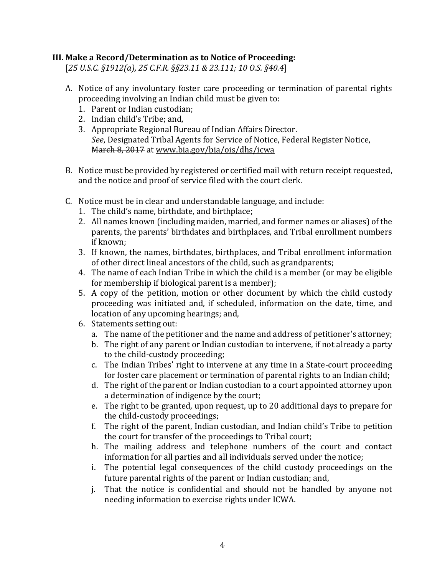# **III. Make a Record/Determination as to Notice of Proceeding:**

[*25 U.S.C. §1912(a), 25 C.F.R. §§23.11 & 23.111; 10 O.S. §40.4*]

- A. Notice of any involuntary foster care proceeding or termination of parental rights proceeding involving an Indian child must be given to:
	- 1. Parent or Indian custodian;
	- 2. Indian child's Tribe; and,
	- 3. Appropriate Regional Bureau of Indian Affairs Director. *See*, Designated Tribal Agents for Service of Notice, Federal Register Notice, March 8, 2017 at www.bia.gov/bia/ois/dhs/icwa
- B. Notice must be provided by registered or certified mail with return receipt requested, and the notice and proof of service filed with the court clerk.
- C. Notice must be in clear and understandable language, and include:
	- 1. The child's name, birthdate, and birthplace;
	- 2. All names known (including maiden, married, and former names or aliases) of the parents, the parents' birthdates and birthplaces, and Tribal enrollment numbers if known;
	- 3. If known, the names, birthdates, birthplaces, and Tribal enrollment information of other direct lineal ancestors of the child, such as grandparents;
	- 4. The name of each Indian Tribe in which the child is a member (or may be eligible for membership if biological parent is a member);
	- 5. A copy of the petition, motion or other document by which the child custody proceeding was initiated and, if scheduled, information on the date, time, and location of any upcoming hearings; and,
	- 6. Statements setting out:
		- a. The name of the petitioner and the name and address of petitioner's attorney;
		- b. The right of any parent or Indian custodian to intervene, if not already a party to the child-custody proceeding;
		- c. The Indian Tribes' right to intervene at any time in a State-court proceeding for foster care placement or termination of parental rights to an Indian child;
		- d. The right of the parent or Indian custodian to a court appointed attorney upon a determination of indigence by the court;
		- e. The right to be granted, upon request, up to 20 additional days to prepare for the child-custody proceedings;
		- f. The right of the parent, Indian custodian, and Indian child's Tribe to petition the court for transfer of the proceedings to Tribal court;
		- h. The mailing address and telephone numbers of the court and contact information for all parties and all individuals served under the notice;
		- i. The potential legal consequences of the child custody proceedings on the future parental rights of the parent or Indian custodian; and,
		- j. That the notice is confidential and should not be handled by anyone not needing information to exercise rights under ICWA.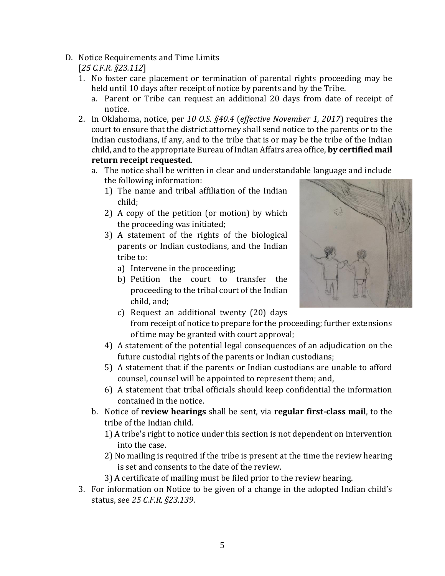- D. Notice Requirements and Time Limits [*25 C.F.R. §23.112*]
	- 1. No foster care placement or termination of parental rights proceeding may be held until 10 days after receipt of notice by parents and by the Tribe.
		- a. Parent or Tribe can request an additional 20 days from date of receipt of notice.
	- 2. In Oklahoma, notice, per *10 O.S. §40.4* (*effective November 1, 2017*) requires the court to ensure that the district attorney shall send notice to the parents or to the Indian custodians, if any, and to the tribe that is or may be the tribe of the Indian child, and to the appropriate Bureau of Indian Affairs area office, **by certified mail return receipt requested**.
		- a. The notice shall be written in clear and understandable language and include the following information:
			- 1) The name and tribal affiliation of the Indian child;
			- 2) A copy of the petition (or motion) by which the proceeding was initiated;
			- 3) A statement of the rights of the biological parents or Indian custodians, and the Indian tribe to:
				- a) Intervene in the proceeding;
				- b) Petition the court to transfer the proceeding to the tribal court of the Indian child, and;



- c) Request an additional twenty (20) days from receipt of notice to prepare for the proceeding; further extensions of time may be granted with court approval;
- 4) A statement of the potential legal consequences of an adjudication on the future custodial rights of the parents or Indian custodians;
- 5) A statement that if the parents or Indian custodians are unable to afford counsel, counsel will be appointed to represent them; and,
- 6) A statement that tribal officials should keep confidential the information contained in the notice.
- b. Notice of **review hearings** shall be sent, via **regular first-class mail**, to the tribe of the Indian child.
	- 1) A tribe's right to notice under this section is not dependent on intervention into the case.
	- 2) No mailing is required if the tribe is present at the time the review hearing is set and consents to the date of the review.
	- 3) A certificate of mailing must be filed prior to the review hearing.
- 3. For information on Notice to be given of a change in the adopted Indian child's status, see *25 C.F.R. §23.139*.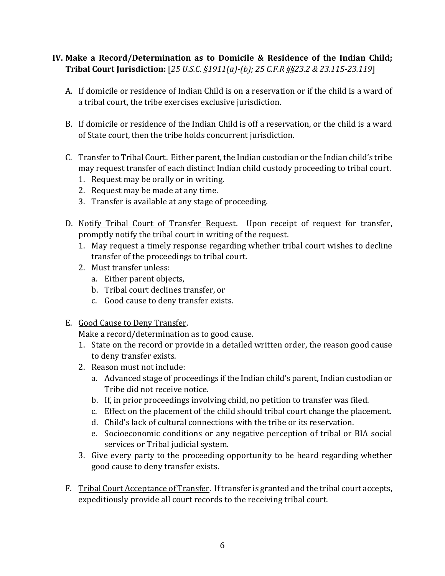# **IV. Make a Record/Determination as to Domicile & Residence of the Indian Child; Tribal Court Jurisdiction:** [*25 U.S.C. §1911(a)-(b); 25 C.F.R §§23.2 & 23.115-23.119*]

- A. If domicile or residence of Indian Child is on a reservation or if the child is a ward of a tribal court, the tribe exercises exclusive jurisdiction.
- B. If domicile or residence of the Indian Child is off a reservation, or the child is a ward of State court, then the tribe holds concurrent jurisdiction.
- C. Transfer to Tribal Court. Either parent, the Indian custodian or the Indian child's tribe may request transfer of each distinct Indian child custody proceeding to tribal court.
	- 1. Request may be orally or in writing.
	- 2. Request may be made at any time.
	- 3. Transfer is available at any stage of proceeding.
- D. Notify Tribal Court of Transfer Request. Upon receipt of request for transfer, promptly notify the tribal court in writing of the request.
	- 1. May request a timely response regarding whether tribal court wishes to decline transfer of the proceedings to tribal court.
	- 2. Must transfer unless:
		- a. Either parent objects,
		- b. Tribal court declines transfer, or
		- c. Good cause to deny transfer exists.
- E. Good Cause to Deny Transfer.

Make a record/determination as to good cause.

- 1. State on the record or provide in a detailed written order, the reason good cause to deny transfer exists.
- 2. Reason must not include:
	- a. Advanced stage of proceedings if the Indian child's parent, Indian custodian or Tribe did not receive notice.
	- b. If, in prior proceedings involving child, no petition to transfer was filed.
	- c. Effect on the placement of the child should tribal court change the placement.
	- d. Child's lack of cultural connections with the tribe or its reservation.
	- e. Socioeconomic conditions or any negative perception of tribal or BIA social services or Tribal judicial system.
- 3. Give every party to the proceeding opportunity to be heard regarding whether good cause to deny transfer exists.
- F. Tribal Court Acceptance of Transfer. If transfer is granted and the tribal court accepts, expeditiously provide all court records to the receiving tribal court.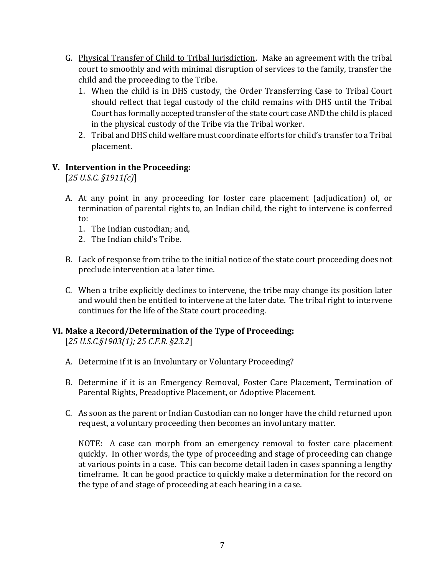- G. Physical Transfer of Child to Tribal Jurisdiction. Make an agreement with the tribal court to smoothly and with minimal disruption of services to the family, transfer the child and the proceeding to the Tribe.
	- 1. When the child is in DHS custody, the Order Transferring Case to Tribal Court should reflect that legal custody of the child remains with DHS until the Tribal Court has formally accepted transfer of the state court case AND the child is placed in the physical custody of the Tribe via the Tribal worker.
	- 2. Tribal and DHS child welfare must coordinate efforts for child's transfer to a Tribal placement.

# **V. Intervention in the Proceeding:**

[*25 U.S.C. §1911(c)*]

- A. At any point in any proceeding for foster care placement (adjudication) of, or termination of parental rights to, an Indian child, the right to intervene is conferred to:
	- 1. The Indian custodian; and,
	- 2. The Indian child's Tribe.
- B. Lack of response from tribe to the initial notice of the state court proceeding does not preclude intervention at a later time.
- C. When a tribe explicitly declines to intervene, the tribe may change its position later and would then be entitled to intervene at the later date. The tribal right to intervene continues for the life of the State court proceeding.

### **VI. Make a Record/Determination of the Type of Proceeding:**

[*25 U.S.C.§1903(1); 25 C.F.R. §23.2*]

- A. Determine if it is an Involuntary or Voluntary Proceeding?
- B. Determine if it is an Emergency Removal, Foster Care Placement, Termination of Parental Rights, Preadoptive Placement, or Adoptive Placement.
- C. As soon as the parent or Indian Custodian can no longer have the child returned upon request, a voluntary proceeding then becomes an involuntary matter.

NOTE: A case can morph from an emergency removal to foster care placement quickly. In other words, the type of proceeding and stage of proceeding can change at various points in a case. This can become detail laden in cases spanning a lengthy timeframe. It can be good practice to quickly make a determination for the record on the type of and stage of proceeding at each hearing in a case.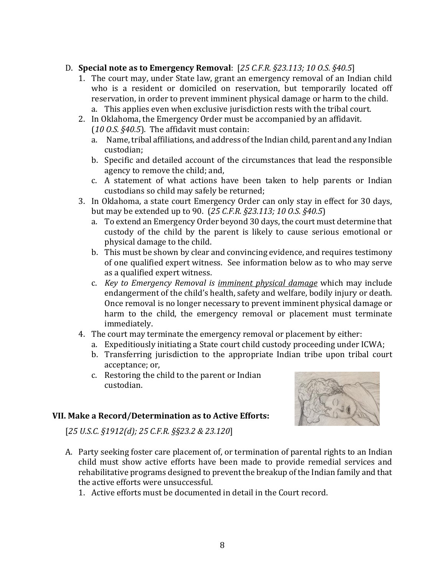# D. **Special note as to Emergency Removal**: [*25 C.F.R. §23.113; 10 O.S. §40.5*]

- 1. The court may, under State law, grant an emergency removal of an Indian child who is a resident or domiciled on reservation, but temporarily located off reservation, in order to prevent imminent physical damage or harm to the child.
	- a. This applies even when exclusive jurisdiction rests with the tribal court.
- 2. In Oklahoma, the Emergency Order must be accompanied by an affidavit. (*10 O.S. §40.5*). The affidavit must contain:
	- a. Name, tribal affiliations, and address of the Indian child, parent and any Indian custodian;
	- b. Specific and detailed account of the circumstances that lead the responsible agency to remove the child; and,
	- c. A statement of what actions have been taken to help parents or Indian custodians so child may safely be returned;
- 3. In Oklahoma, a state court Emergency Order can only stay in effect for 30 days, but may be extended up to 90. (*25 C.F.R. §23.113; 10 O.S. §40.5*)
	- a. To extend an Emergency Order beyond 30 days, the court must determine that custody of the child by the parent is likely to cause serious emotional or physical damage to the child.
	- b. This must be shown by clear and convincing evidence, and requires testimony of one qualified expert witness. See information below as to who may serve as a qualified expert witness.
	- c. *Key to Emergency Removal is imminent physical damage* which may include endangerment of the child's health, safety and welfare, bodily injury or death. Once removal is no longer necessary to prevent imminent physical damage or harm to the child, the emergency removal or placement must terminate immediately.
- 4. The court may terminate the emergency removal or placement by either:
	- a. Expeditiously initiating a State court child custody proceeding under ICWA;
	- b. Transferring jurisdiction to the appropriate Indian tribe upon tribal court acceptance; or,
	- c. Restoring the child to the parent or Indian custodian.

### **VII. Make a Record/Determination as to Active Efforts:**

[*25 U.S.C. §1912(d); 25 C.F.R. §§23.2 & 23.120*]



- A. Party seeking foster care placement of, or termination of parental rights to an Indian child must show active efforts have been made to provide remedial services and rehabilitative programs designed to prevent the breakup of the Indian family and that the active efforts were unsuccessful.
	- 1. Active efforts must be documented in detail in the Court record.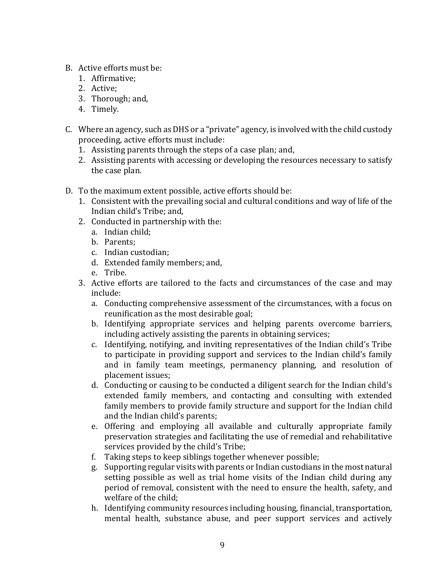- B. Active efforts must be:
	- 1. Affirmative;
	- 2. Active;
	- 3. Thorough; and,
	- 4. Timely.
- C. Where an agency, such as DHS or a "private" agency, is involved with the child custody proceeding, active efforts must include:
	- 1. Assisting parents through the steps of a case plan; and,
	- 2. Assisting parents with accessing or developing the resources necessary to satisfy the case plan.
- D. To the maximum extent possible, active efforts should be:
	- 1. Consistent with the prevailing social and cultural conditions and way of life of the Indian child's Tribe; and,
	- 2. Conducted in partnership with the:
		- a. Indian child;
		- b. Parents;
		- c. Indian custodian;
		- d. Extended family members; and,
		- e. Tribe.
	- 3. Active efforts are tailored to the facts and circumstances of the case and may include:
		- a. Conducting comprehensive assessment of the circumstances, with a focus on reunification as the most desirable goal;
		- b. Identifying appropriate services and helping parents overcome barriers, including actively assisting the parents in obtaining services;
		- c. Identifying, notifying, and inviting representatives of the Indian child's Tribe to participate in providing support and services to the Indian child's family and in family team meetings, permanency planning, and resolution of placement issues;
		- d. Conducting or causing to be conducted a diligent search for the Indian child's extended family members, and contacting and consulting with extended family members to provide family structure and support for the Indian child and the Indian child's parents;
		- e. Offering and employing all available and culturally appropriate family preservation strategies and facilitating the use of remedial and rehabilitative services provided by the child's Tribe;
		- f. Taking steps to keep siblings together whenever possible;
		- g. Supporting regular visits with parents or Indian custodians in the most natural setting possible as well as trial home visits of the Indian child during any period of removal, consistent with the need to ensure the health, safety, and welfare of the child;
		- h. Identifying community resources including housing, financial, transportation, mental health, substance abuse, and peer support services and actively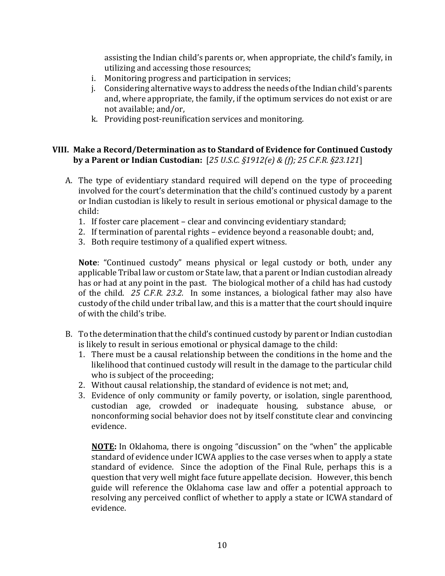assisting the Indian child's parents or, when appropriate, the child's family, in utilizing and accessing those resources;

- i. Monitoring progress and participation in services;
- j. Considering alternative ways to address the needs of the Indian child's parents and, where appropriate, the family, if the optimum services do not exist or are not available; and/or,
- k. Providing post-reunification services and monitoring.

# **VIII. Make a Record/Determination as to Standard of Evidence for Continued Custody by a Parent or Indian Custodian:** [*25 U.S.C. §1912(e) & (f); 25 C.F.R. §23.121*]

- A. The type of evidentiary standard required will depend on the type of proceeding involved for the court's determination that the child's continued custody by a parent or Indian custodian is likely to result in serious emotional or physical damage to the child:
	- 1. If foster care placement clear and convincing evidentiary standard;
	- 2. If termination of parental rights evidence beyond a reasonable doubt; and,
	- 3. Both require testimony of a qualified expert witness.

**Note**: "Continued custody" means physical or legal custody or both, under any applicable Tribal law or custom or State law, that a parent or Indian custodian already has or had at any point in the past. The biological mother of a child has had custody of the child. *25 C.F.R. 23.2.* In some instances, a biological father may also have custody of the child under tribal law, and this is a matter that the court should inquire of with the child's tribe.

- B. To the determination that the child's continued custody by parent or Indian custodian is likely to result in serious emotional or physical damage to the child:
	- 1. There must be a causal relationship between the conditions in the home and the likelihood that continued custody will result in the damage to the particular child who is subject of the proceeding;
	- 2. Without causal relationship, the standard of evidence is not met; and,
	- 3. Evidence of only community or family poverty, or isolation, single parenthood, custodian age, crowded or inadequate housing, substance abuse, or nonconforming social behavior does not by itself constitute clear and convincing evidence.

**NOTE:** In Oklahoma, there is ongoing "discussion" on the "when" the applicable standard of evidence under ICWA applies to the case verses when to apply a state standard of evidence. Since the adoption of the Final Rule, perhaps this is a question that very well might face future appellate decision. However, this bench guide will reference the Oklahoma case law and offer a potential approach to resolving any perceived conflict of whether to apply a state or ICWA standard of evidence.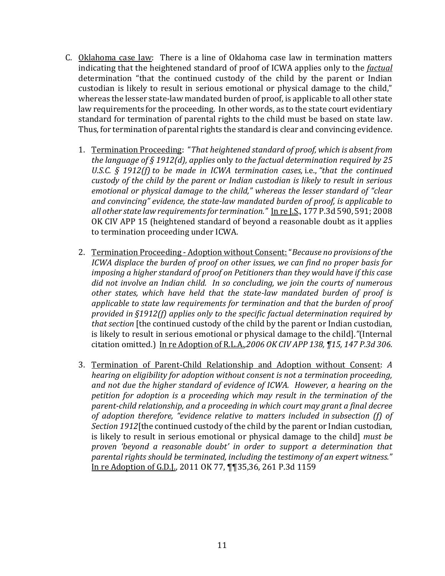- C. Oklahoma case law: There is a line of Oklahoma case law in termination matters indicating that the heightened standard of proof of ICWA applies only to the *factual* determination "that the continued custody of the child by the parent or Indian custodian is likely to result in serious emotional or physical damage to the child," whereas the lesser state-law mandated burden of proof, is applicable to all other state law requirements for the proceeding. In other words, as to the state court evidentiary standard for termination of parental rights to the child must be based on state law. Thus, for termination of parental rights the standard is clear and convincing evidence.
	- 1. Termination Proceeding: "*That heightened standard of proof, which is absent from the language of § 1912(d), applies* only *to the factual determination required by 25 U.S.C. § 1912(f) to be made in ICWA termination cases,* i.e., *"that the continued custody of the child by the parent or Indian custodian is likely to result in serious emotional or physical damage to the child," whereas the lesser standard of "clear and convincing" evidence, the state-law mandated burden of proof, is applicable to all other state law requirements for termination."* In re J.S., 177 P.3d 590, 591; 2008 OK CIV APP 15 (heightened standard of beyond a reasonable doubt as it applies to termination proceeding under ICWA.
	- 2. Termination Proceeding Adoption without Consent:"*Because no provisions of the ICWA displace the burden of proof on other issues, we can find no proper basis for imposing a higher standard of proof on Petitioners than they would have if this case did not involve an Indian child. In so concluding, we join the courts of numerous other states, which have held that the state-law mandated burden of proof is applicable to state law requirements for termination and that the burden of proof provided in §1912(f) applies only to the specific factual determination required by that section* [the continued custody of the child by the parent or Indian custodian, is likely to result in serious emotional or physical damage to the child]*."*(Internal citation omitted.)In re Adoption of R.L.A.*,2006 OK CIV APP 138, ¶15, 147 P.3d 306.*
	- 3. Termination of Parent-Child Relationship and Adoption without Consent: *A hearing on eligibility for adoption without consent is not a termination proceeding, and not due the higher standard of evidence of ICWA. However, a hearing on the petition for adoption is a proceeding which may result in the termination of the parent-child relationship, and a proceeding in which court may grant a final decree of adoption therefore, "evidence relative to matters included in subsection (f) of Section 1912*[the continued custody of the child by the parent or Indian custodian, is likely to result in serious emotional or physical damage to the child] *must be proven 'beyond a reasonable doubt' in order to support a determination that parental rights should be terminated, including the testimony of an expert witness."* In re Adoption of G.D.J., 2011 OK 77, ¶¶35,36, 261 P.3d 1159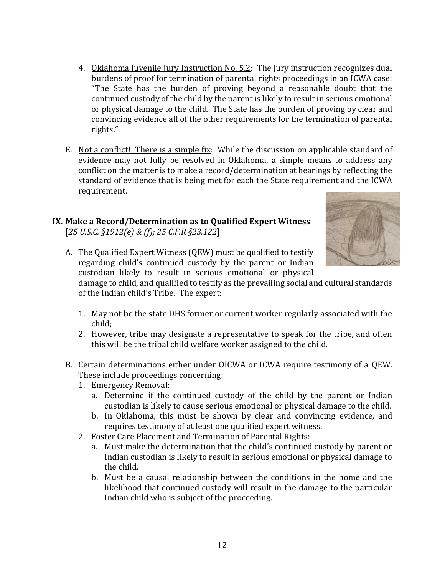- 4. Oklahoma Juvenile Jury Instruction No. 5.2: The jury instruction recognizes dual burdens of proof for termination of parental rights proceedings in an ICWA case: "The State has the burden of proving beyond a reasonable doubt that the continued custody of the child by the parent is likely to result in serious emotional or physical damage to the child. The State has the burden of proving by clear and convincing evidence all of the other requirements for the termination of parental rights."
- E. Not a conflict! There is a simple fix: While the discussion on applicable standard of evidence may not fully be resolved in Oklahoma, a simple means to address any conflict on the matter is to make a record/determination at hearings by reflecting the standard of evidence that is being met for each the State requirement and the ICWA requirement.

#### **IX. Make a Record/Determination as to Qualified Expert Witness**  [*25 U.S.C. §1912(e) & (f); 25 C.F.R §23.122*]



A. The Qualified Expert Witness (QEW) must be qualified to testify regarding child's continued custody by the parent or Indian custodian likely to result in serious emotional or physical

damage to child, and qualified to testify as the prevailing social and cultural standards of the Indian child's Tribe. The expert:

- 1. May not be the state DHS former or current worker regularly associated with the child;
- 2. However, tribe may designate a representative to speak for the tribe, and often this will be the tribal child welfare worker assigned to the child.
- B. Certain determinations either under OICWA or ICWA require testimony of a QEW. These include proceedings concerning:
	- 1. Emergency Removal:
		- a. Determine if the continued custody of the child by the parent or Indian custodian is likely to cause serious emotional or physical damage to the child.
		- b. In Oklahoma, this must be shown by clear and convincing evidence, and requires testimony of at least one qualified expert witness.
	- 2. Foster Care Placement and Termination of Parental Rights:
		- a. Must make the determination that the child's continued custody by parent or Indian custodian is likely to result in serious emotional or physical damage to the child.
		- b. Must be a causal relationship between the conditions in the home and the likelihood that continued custody will result in the damage to the particular Indian child who is subject of the proceeding.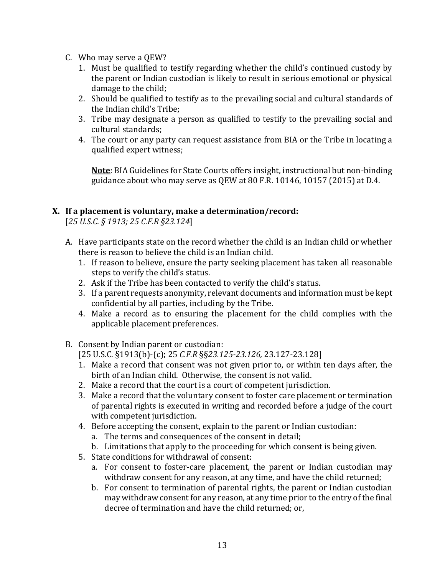- C. Who may serve a QEW?
	- 1. Must be qualified to testify regarding whether the child's continued custody by the parent or Indian custodian is likely to result in serious emotional or physical damage to the child;
	- 2. Should be qualified to testify as to the prevailing social and cultural standards of the Indian child's Tribe;
	- 3. Tribe may designate a person as qualified to testify to the prevailing social and cultural standards;
	- 4. The court or any party can request assistance from BIA or the Tribe in locating a qualified expert witness;

**Note**: BIA Guidelines for State Courts offers insight, instructional but non-binding guidance about who may serve as QEW at 80 F.R. 10146, 10157 (2015) at D.4.

# **X. If a placement is voluntary, make a determination/record:**

[*25 U.S.C. § 1913; 25 C.F.R §23.124*]

- A. Have participants state on the record whether the child is an Indian child or whether there is reason to believe the child is an Indian child.
	- 1. If reason to believe, ensure the party seeking placement has taken all reasonable steps to verify the child's status.
	- 2. Ask if the Tribe has been contacted to verify the child's status.
	- 3. If a parent requests anonymity, relevant documents and information must be kept confidential by all parties, including by the Tribe.
	- 4. Make a record as to ensuring the placement for the child complies with the applicable placement preferences.
- B. Consent by Indian parent or custodian:

[25 U.S.C. §1913(b)-(c); 25 *C.F.R* §§*23.125-23.126,* 23.127-23.128]

- 1. Make a record that consent was not given prior to, or within ten days after, the birth of an Indian child. Otherwise, the consent is not valid.
- 2. Make a record that the court is a court of competent jurisdiction.
- 3. Make a record that the voluntary consent to foster care placement or termination of parental rights is executed in writing and recorded before a judge of the court with competent jurisdiction.
- 4. Before accepting the consent, explain to the parent or Indian custodian:
	- a. The terms and consequences of the consent in detail;
	- b. Limitations that apply to the proceeding for which consent is being given.
- 5. State conditions for withdrawal of consent:
	- a. For consent to foster-care placement, the parent or Indian custodian may withdraw consent for any reason, at any time, and have the child returned;
	- b. For consent to termination of parental rights, the parent or Indian custodian may withdraw consent for any reason, at any time prior to the entry of the final decree of termination and have the child returned; or,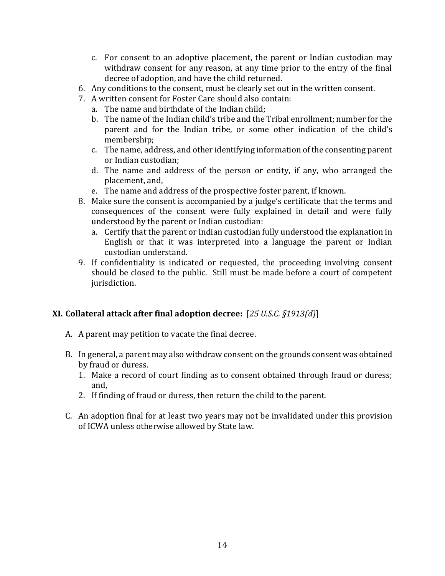- c. For consent to an adoptive placement, the parent or Indian custodian may withdraw consent for any reason, at any time prior to the entry of the final decree of adoption, and have the child returned.
- 6. Any conditions to the consent, must be clearly set out in the written consent.
- 7. A written consent for Foster Care should also contain:
	- a. The name and birthdate of the Indian child;
	- b. The name of the Indian child's tribe and the Tribal enrollment; number for the parent and for the Indian tribe, or some other indication of the child's membership;
	- c. The name, address, and other identifying information of the consenting parent or Indian custodian;
	- d. The name and address of the person or entity, if any, who arranged the placement, and,
	- e. The name and address of the prospective foster parent, if known.
- 8. Make sure the consent is accompanied by a judge's certificate that the terms and consequences of the consent were fully explained in detail and were fully understood by the parent or Indian custodian:
	- a. Certify that the parent or Indian custodian fully understood the explanation in English or that it was interpreted into a language the parent or Indian custodian understand.
- 9. If confidentiality is indicated or requested, the proceeding involving consent should be closed to the public. Still must be made before a court of competent jurisdiction.

# **XI. Collateral attack after final adoption decree:** [*25 U.S.C. §1913(d)*]

- A. A parent may petition to vacate the final decree.
- B. In general, a parent may also withdraw consent on the grounds consent was obtained by fraud or duress.
	- 1. Make a record of court finding as to consent obtained through fraud or duress; and,
	- 2. If finding of fraud or duress, then return the child to the parent.
- C. An adoption final for at least two years may not be invalidated under this provision of ICWA unless otherwise allowed by State law.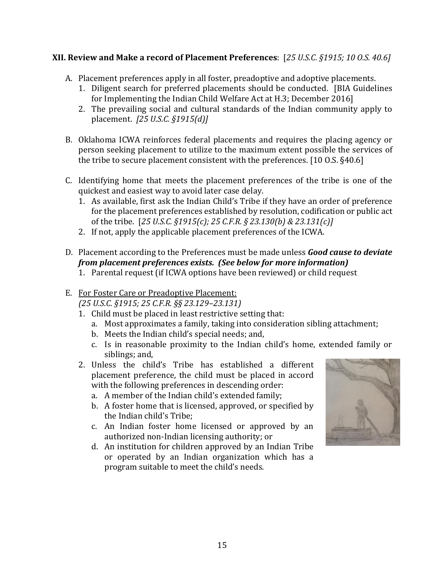# **XII. Review and Make a record of Placement Preferences**: [*25 U.S.C. §1915; 10 O.S. 40.6]*

- A. Placement preferences apply in all foster, preadoptive and adoptive placements.
	- 1. Diligent search for preferred placements should be conducted. [BIA Guidelines for Implementing the Indian Child Welfare Act at H.3; December 2016]
	- 2. The prevailing social and cultural standards of the Indian community apply to placement. *[25 U.S.C. §1915(d)]*
- B. Oklahoma ICWA reinforces federal placements and requires the placing agency or person seeking placement to utilize to the maximum extent possible the services of the tribe to secure placement consistent with the preferences. [10 O.S. §40.6]
- C. Identifying home that meets the placement preferences of the tribe is one of the quickest and easiest way to avoid later case delay.
	- 1. As available, first ask the Indian Child's Tribe if they have an order of preference for the placement preferences established by resolution, codification or public act of the tribe. [*25 U.S.C. §1915(c); 25 C.F.R. § 23.130(b) & 23.131(c)]*
	- 2. If not, apply the applicable placement preferences of the ICWA.
- D. Placement according to the Preferences must be made unless *Good cause to deviate from placement preferences exists. (See below for more information)* 
	- 1. Parental request (if ICWA options have been reviewed) or child request
- E. For Foster Care or Preadoptive Placement: *(25 U.S.C. §1915; 25 C.F.R. §§ 23.129–23.131)*
	- 1. Child must be placed in least restrictive setting that:
		- a. Most approximates a family, taking into consideration sibling attachment;
		- b. Meets the Indian child's special needs; and,
		- c. Is in reasonable proximity to the Indian child's home, extended family or siblings; and,
	- 2. Unless the child's Tribe has established a different placement preference, the child must be placed in accord with the following preferences in descending order:
		- a. A member of the Indian child's extended family;
		- b. A foster home that is licensed, approved, or specified by the Indian child's Tribe;
		- c. An Indian foster home licensed or approved by an authorized non-Indian licensing authority; or
		- d. An institution for children approved by an Indian Tribe or operated by an Indian organization which has a program suitable to meet the child's needs.

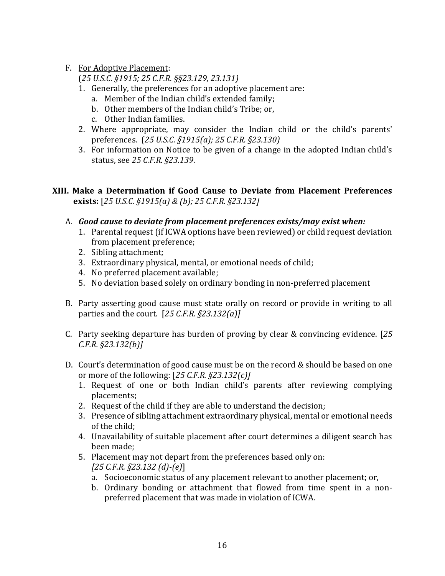F. For Adoptive Placement:

(*25 U.S.C. §1915; 25 C.F.R. §§23.129, 23.131)*

- 1. Generally, the preferences for an adoptive placement are:
	- a. Member of the Indian child's extended family;
	- b. Other members of the Indian child's Tribe; or,
	- c. Other Indian families.
- 2. Where appropriate, may consider the Indian child or the child's parents' preferences. (*25 U.S.C. §1915(a); 25 C.F.R. §23.130)*
- 3. For information on Notice to be given of a change in the adopted Indian child's status, see *25 C.F.R. §23.139*.
- **XIII. Make a Determination if Good Cause to Deviate from Placement Preferences exists:** [*25 U.S.C. §1915(a) & (b); 25 C.F.R. §23.132]*
	- A. *Good cause to deviate from placement preferences exists/may exist when:* 
		- 1. Parental request (if ICWA options have been reviewed) or child request deviation from placement preference;
		- 2. Sibling attachment;
		- 3. Extraordinary physical, mental, or emotional needs of child;
		- 4. No preferred placement available;
		- 5. No deviation based solely on ordinary bonding in non-preferred placement
	- B. Party asserting good cause must state orally on record or provide in writing to all parties and the court. [*25 C.F.R. §23.132(a)]*
	- C. Party seeking departure has burden of proving by clear & convincing evidence. [*25 C.F.R. §23.132(b)]*
	- D. Court's determination of good cause must be on the record & should be based on one or more of the following: [*25 C.F.R. §23.132(c)]*
		- 1. Request of one or both Indian child's parents after reviewing complying placements;
		- 2. Request of the child if they are able to understand the decision;
		- 3. Presence of sibling attachment extraordinary physical, mental or emotional needs of the child;
		- 4. Unavailability of suitable placement after court determines a diligent search has been made;
		- 5. Placement may not depart from the preferences based only on:
			- *[25 C.F.R. §23.132 (d)-(e)*]
			- a. Socioeconomic status of any placement relevant to another placement; or,
			- b. Ordinary bonding or attachment that flowed from time spent in a nonpreferred placement that was made in violation of ICWA.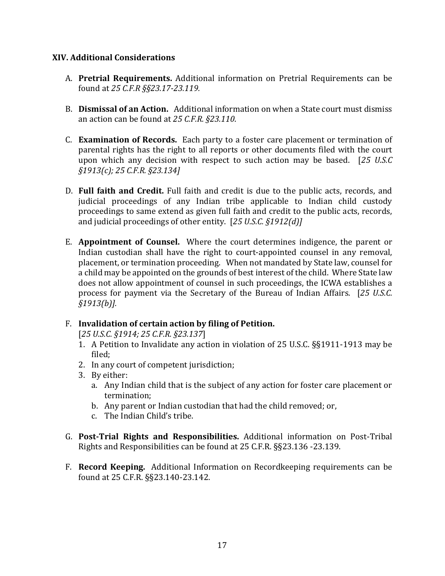#### **XIV. Additional Considerations**

- A. **Pretrial Requirements.** Additional information on Pretrial Requirements can be found at *25 C.F.R §§23.17-23.119.*
- B. **Dismissal of an Action.** Additional information on when a State court must dismiss an action can be found at *25 C.F.R. §23.110*.
- C. **Examination of Records.** Each party to a foster care placement or termination of parental rights has the right to all reports or other documents filed with the court upon which any decision with respect to such action may be based. [*25 U.S.C §1913(c); 25 C.F.R. §23.134]*
- D. **Full faith and Credit.** Full faith and credit is due to the public acts, records, and judicial proceedings of any Indian tribe applicable to Indian child custody proceedings to same extend as given full faith and credit to the public acts, records, and judicial proceedings of other entity. [*25 U.S.C. §1912(d)]*
- E. **Appointment of Counsel.** Where the court determines indigence, the parent or Indian custodian shall have the right to court-appointed counsel in any removal, placement, or termination proceeding. When not mandated by State law, counsel for a child may be appointed on the grounds of best interest of the child. Where State law does not allow appointment of counsel in such proceedings, the ICWA establishes a process for payment via the Secretary of the Bureau of Indian Affairs. [*25 U.S.C. §1913(b)].*

### F. **Invalidation of certain action by filing of Petition.**

[*25 U.S.C. §1914; 25 C.F.R. §23.137*]

- 1. A Petition to Invalidate any action in violation of 25 U.S.C. §§1911-1913 may be filed;
- 2. In any court of competent jurisdiction;
- 3. By either:
	- a. Any Indian child that is the subject of any action for foster care placement or termination;
	- b. Any parent or Indian custodian that had the child removed; or,
	- c. The Indian Child's tribe.
- G. **Post-Trial Rights and Responsibilities.** Additional information on Post-Tribal Rights and Responsibilities can be found at 25 C.F.R. §§23.136 -23.139.
- F. **Record Keeping.** Additional Information on Recordkeeping requirements can be found at 25 C.F.R. §§23.140-23.142.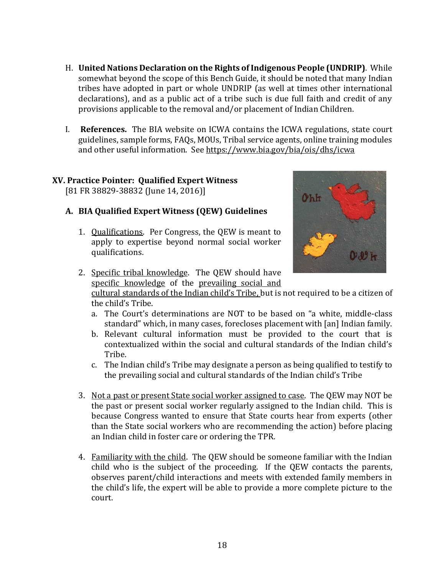- H. **United Nations Declaration on the Rights of Indigenous People (UNDRIP)**. While somewhat beyond the scope of this Bench Guide, it should be noted that many Indian tribes have adopted in part or whole UNDRIP (as well at times other international declarations), and as a public act of a tribe such is due full faith and credit of any provisions applicable to the removal and/or placement of Indian Children.
- I. **References.** The BIA website on ICWA contains the ICWA regulations, state court guidelines, sample forms, FAQs, MOUs, Tribal service agents, online training modules and other useful information. See https://www.bia.gov/bia/ois/dhs/icwa

# **XV. Practice Pointer: Qualified Expert Witness**

[81 FR 38829-38832 (June 14, 2016)]

# **A. BIA Qualified Expert Witness (QEW) Guidelines**

1. Qualifications. Per Congress, the QEW is meant to apply to expertise beyond normal social worker qualifications.



2. Specific tribal knowledge. The QEW should have specific knowledge of the prevailing social and

cultural standards of the Indian child's Tribe, but is not required to be a citizen of the child's Tribe.

- a. The Court's determinations are NOT to be based on "a white, middle-class standard" which, in many cases, forecloses placement with [an] Indian family.
- b. Relevant cultural information must be provided to the court that is contextualized within the social and cultural standards of the Indian child's Tribe.
- c. The Indian child's Tribe may designate a person as being qualified to testify to the prevailing social and cultural standards of the Indian child's Tribe
- 3. Not a past or present State social worker assigned to case. The QEW may NOT be the past or present social worker regularly assigned to the Indian child. This is because Congress wanted to ensure that State courts hear from experts (other than the State social workers who are recommending the action) before placing an Indian child in foster care or ordering the TPR.
- 4. Familiarity with the child. The QEW should be someone familiar with the Indian child who is the subject of the proceeding. If the QEW contacts the parents, observes parent/child interactions and meets with extended family members in the child's life, the expert will be able to provide a more complete picture to the court.